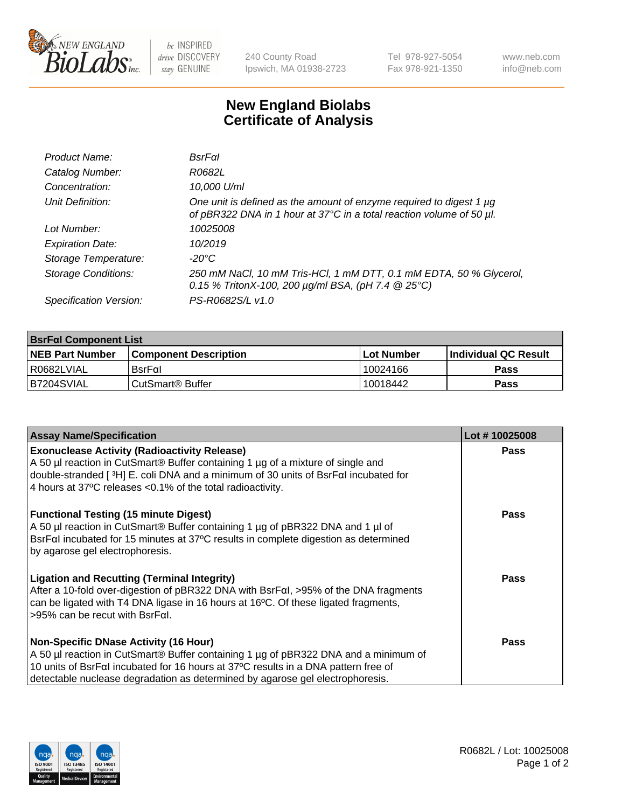

 $be$  INSPIRED drive DISCOVERY stay GENUINE

240 County Road Ipswich, MA 01938-2723 Tel 978-927-5054 Fax 978-921-1350 www.neb.com info@neb.com

## **New England Biolabs Certificate of Analysis**

| Product Name:              | <b>BsrFal</b>                                                                                                                               |
|----------------------------|---------------------------------------------------------------------------------------------------------------------------------------------|
| Catalog Number:            | R0682L                                                                                                                                      |
| Concentration:             | 10,000 U/ml                                                                                                                                 |
| Unit Definition:           | One unit is defined as the amount of enzyme required to digest 1 µg<br>of pBR322 DNA in 1 hour at 37°C in a total reaction volume of 50 µl. |
| Lot Number:                | 10025008                                                                                                                                    |
| <b>Expiration Date:</b>    | 10/2019                                                                                                                                     |
| Storage Temperature:       | -20°C                                                                                                                                       |
| <b>Storage Conditions:</b> | 250 mM NaCl, 10 mM Tris-HCl, 1 mM DTT, 0.1 mM EDTA, 50 % Glycerol,<br>0.15 % TritonX-100, 200 $\mu$ g/ml BSA, (pH 7.4 $\circledR$ 25°C)     |
| Specification Version:     | PS-R0682S/L v1.0                                                                                                                            |

| <b>BsrFal Component List</b> |                              |                   |                             |  |  |
|------------------------------|------------------------------|-------------------|-----------------------------|--|--|
| <b>NEB Part Number</b>       | <b>Component Description</b> | <b>Lot Number</b> | <b>Individual QC Result</b> |  |  |
| I R0682LVIAL                 | $BsrF\alpha I$               | 10024166          | <b>Pass</b>                 |  |  |
| B7204SVIAL                   | l CutSmart® Buffer           | 10018442          | Pass                        |  |  |

| <b>Assay Name/Specification</b>                                                                                                                                                                                                                                                            | Lot #10025008 |
|--------------------------------------------------------------------------------------------------------------------------------------------------------------------------------------------------------------------------------------------------------------------------------------------|---------------|
| <b>Exonuclease Activity (Radioactivity Release)</b><br>A 50 µl reaction in CutSmart® Buffer containing 1 µg of a mixture of single and<br>double-stranded [3H] E. coli DNA and a minimum of 30 units of BsrFal incubated for<br>4 hours at 37°C releases <0.1% of the total radioactivity. | Pass          |
| <b>Functional Testing (15 minute Digest)</b><br>A 50 µl reaction in CutSmart® Buffer containing 1 µg of pBR322 DNA and 1 µl of<br>BsrFal incubated for 15 minutes at 37°C results in complete digestion as determined<br>by agarose gel electrophoresis.                                   | Pass          |
| <b>Ligation and Recutting (Terminal Integrity)</b><br>After a 10-fold over-digestion of pBR322 DNA with BsrFal, >95% of the DNA fragments<br>can be ligated with T4 DNA ligase in 16 hours at 16°C. Of these ligated fragments,<br>$>95\%$ can be recut with BsrFal.                       | Pass          |
| <b>Non-Specific DNase Activity (16 Hour)</b>                                                                                                                                                                                                                                               | Pass          |
| A 50 µl reaction in CutSmart <sup>®</sup> Buffer containing 1 µg of pBR322 DNA and a minimum of                                                                                                                                                                                            |               |
| 10 units of BsrFaI incubated for 16 hours at 37°C results in a DNA pattern free of<br>detectable nuclease degradation as determined by agarose gel electrophoresis.                                                                                                                        |               |